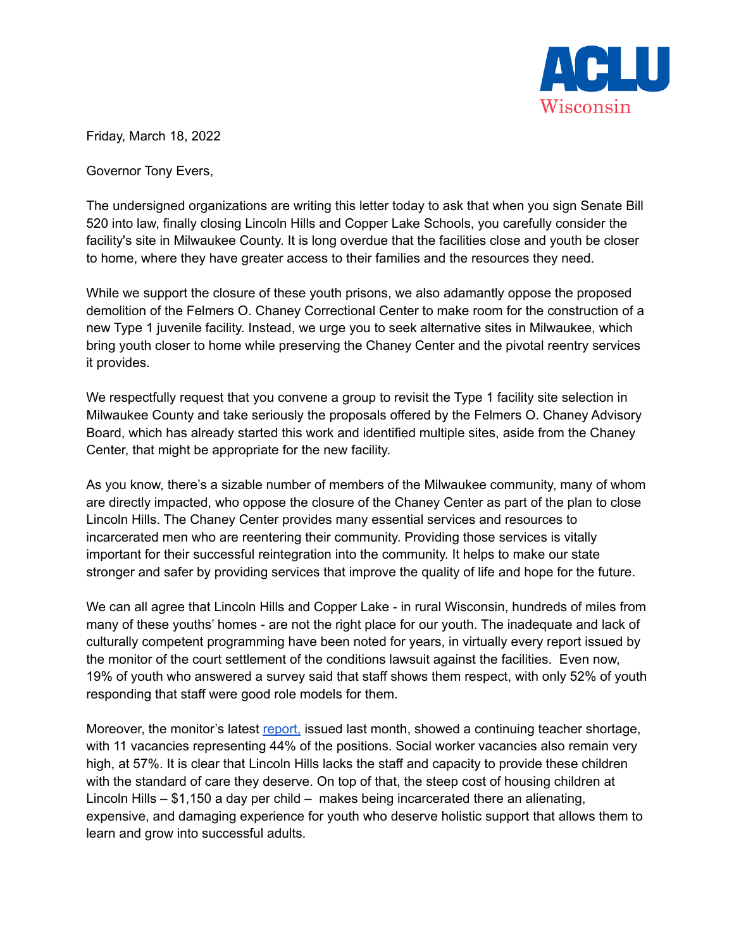

Friday, March 18, 2022

Governor Tony Evers,

The undersigned organizations are writing this letter today to ask that when you sign Senate Bill 520 into law, finally closing Lincoln Hills and Copper Lake Schools, you carefully consider the facility's site in Milwaukee County. It is long overdue that the facilities close and youth be closer to home, where they have greater access to their families and the resources they need.

While we support the closure of these youth prisons, we also adamantly oppose the proposed demolition of the Felmers O. Chaney Correctional Center to make room for the construction of a new Type 1 juvenile facility. Instead, we urge you to seek alternative sites in Milwaukee, which bring youth closer to home while preserving the Chaney Center and the pivotal reentry services it provides.

We respectfully request that you convene a group to revisit the Type 1 facility site selection in Milwaukee County and take seriously the proposals offered by the Felmers O. Chaney Advisory Board, which has already started this work and identified multiple sites, aside from the Chaney Center, that might be appropriate for the new facility.

As you know, there's a sizable number of members of the Milwaukee community, many of whom are directly impacted, who oppose the closure of the Chaney Center as part of the plan to close Lincoln Hills. The Chaney Center provides many essential services and resources to incarcerated men who are reentering their community. Providing those services is vitally important for their successful reintegration into the community. It helps to make our state stronger and safer by providing services that improve the quality of life and hope for the future.

We can all agree that Lincoln Hills and Copper Lake - in rural Wisconsin, hundreds of miles from many of these youths' homes - are not the right place for our youth. The inadequate and lack of culturally competent programming have been noted for years, in virtually every report issued by the monitor of the court settlement of the conditions lawsuit against the facilities. Even now, 19% of youth who answered a survey said that staff shows them respect, with only 52% of youth responding that staff were good role models for them.

Moreover, the monitor's latest [report,](https://www.wispolitics.com/wp-content/uploads/2021/11/11th-Monitor-Report-as-Filed-111621.pdf) issued last month, showed a continuing teacher shortage, with 11 vacancies representing 44% of the positions. Social worker vacancies also remain very high, at 57%. It is clear that Lincoln Hills lacks the staff and capacity to provide these children with the standard of care they deserve. On top of that, the steep cost of housing children at Lincoln Hills – \$1,150 a day per child – makes being incarcerated there an alienating, expensive, and damaging experience for youth who deserve holistic support that allows them to learn and grow into successful adults.